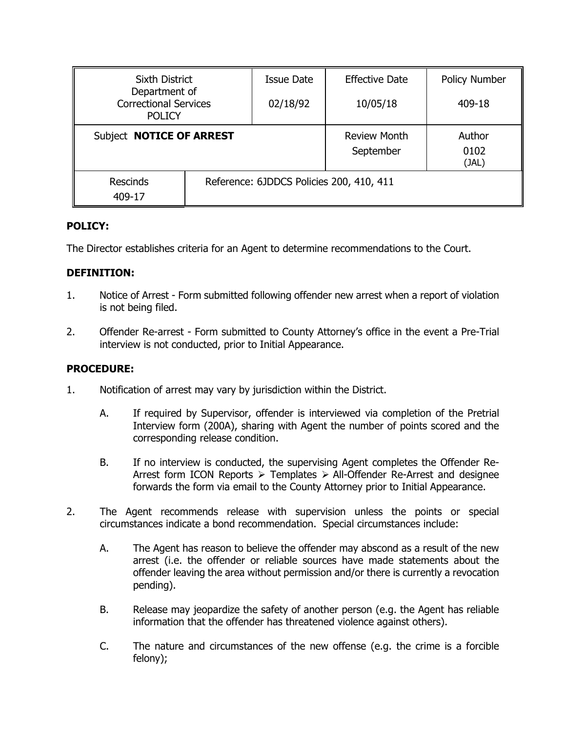| Sixth District                                                 |                                          | <b>Issue Date</b>                | <b>Effective Date</b>   | Policy Number |
|----------------------------------------------------------------|------------------------------------------|----------------------------------|-------------------------|---------------|
| Department of<br><b>Correctional Services</b><br><b>POLICY</b> |                                          | 02/18/92                         | 10/05/18                | 409-18        |
| Subject NOTICE OF ARREST                                       |                                          | <b>Review Month</b><br>September | Author<br>0102<br>(JAL) |               |
| <b>Rescinds</b><br>409-17                                      | Reference: 6JDDCS Policies 200, 410, 411 |                                  |                         |               |

# **POLICY:**

The Director establishes criteria for an Agent to determine recommendations to the Court.

# **DEFINITION:**

- 1. Notice of Arrest Form submitted following offender new arrest when a report of violation is not being filed.
- 2. Offender Re-arrest Form submitted to County Attorney's office in the event a Pre-Trial interview is not conducted, prior to Initial Appearance.

## **PROCEDURE:**

- 1. Notification of arrest may vary by jurisdiction within the District.
	- A. If required by Supervisor, offender is interviewed via completion of the Pretrial Interview form (200A), sharing with Agent the number of points scored and the corresponding release condition.
	- B. If no interview is conducted, the supervising Agent completes the Offender Re-Arrest form ICON Reports  $\triangleright$  Templates  $\triangleright$  All-Offender Re-Arrest and designee forwards the form via email to the County Attorney prior to Initial Appearance.
- 2. The Agent recommends release with supervision unless the points or special circumstances indicate a bond recommendation. Special circumstances include:
	- A. The Agent has reason to believe the offender may abscond as a result of the new arrest (i.e. the offender or reliable sources have made statements about the offender leaving the area without permission and/or there is currently a revocation pending).
	- B. Release may jeopardize the safety of another person (e.g. the Agent has reliable information that the offender has threatened violence against others).
	- C. The nature and circumstances of the new offense (e.g. the crime is a forcible felony);